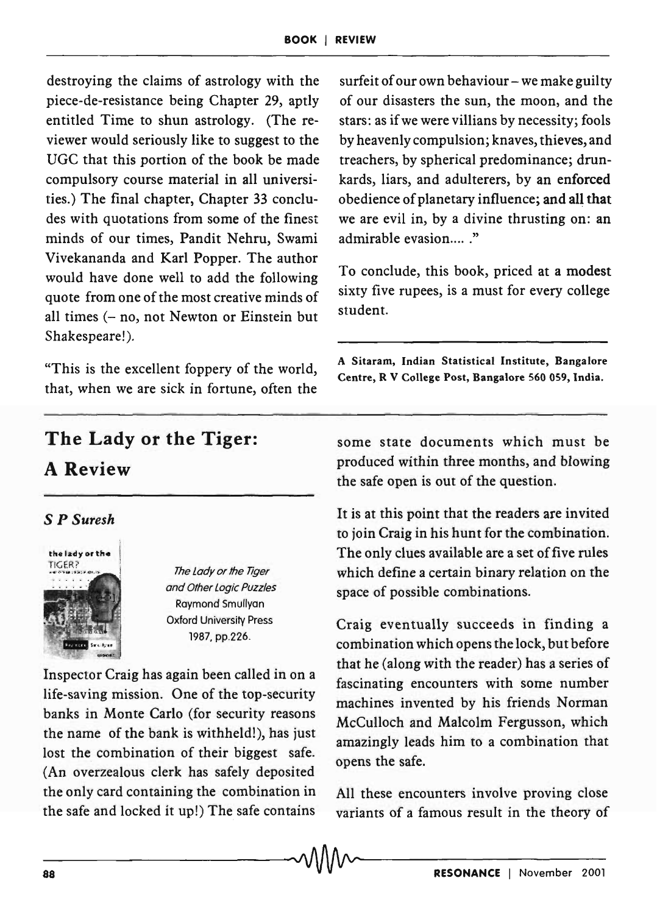destroying the claims of astrology with the piece-de-resistance being Chapter 29, aptly entitled Time to shun astrology. (The reviewer would seriously like to suggest to the UGC that this portion of the book be made compulsory course material in all universities.) The final chapter, Chapter 33 concludes with quotations from some of the finest minds of our times, Pandit Nehru, Swami Vivekananda and Karl Popper. The author would have done well to add the following quote from one of the most creative minds of all times  $(-no, not Newton or Einstein but)$ Shakespeare!).

"This is the excellent foppery of the world, that, when we are sick in fortune, often the

surfeit of our own behaviour  $-$  we make guilty of our disasters the sun, the moon, and the stars: as if we were villians by necessity; fools by heavenly compulsion; knaves, thieves, and treachers, by spherical predominance; drunkards, liars, and adulterers, by an enforced obedience of planetary influence; and all that we are evil in, by a divine thrusting on: an admirable evasion....."

To conclude, this book, priced at a modest sixty five rupees, is a must for every college student.

A Sitaram, Indian Statistical Institute, Bangalore Centre, R V College Post, Bangalore 560 059, India.

## The Lady or the Tiger: A Review

## S *P Suresh*



and Other logic Puzzles Raymond Smullyan Oxford University Press '987. pp.226.

Inspector Craig has again been called in on a life-saving mission. One of the top-security banks in Monte Carlo (for security reasons the name of the bank is withheld!), has just lost the combination of their biggest safe. (An overzealous clerk has safely deposited the only card containing the combination in the safe and locked it up!) The safe contains

some state documents which must be produced within three months, and blowing the safe open is out of the question.

It is at this point that the readers are invited to join Craig in his hunt for the combination. The only clues available are a set of five rules which define a certain binary relation on the space of possible combinations.

Craig eventually succeeds in finding a combination which opens the lock, but before that he (along with the reader) has a series of fascinating encounters with some number machines invented by his friends Norman McCulloch and Malcolm Fergusson, which amazingly leads him to a combination that opens the safe.

All these encounters involve proving close variants of a famous result in the theory of